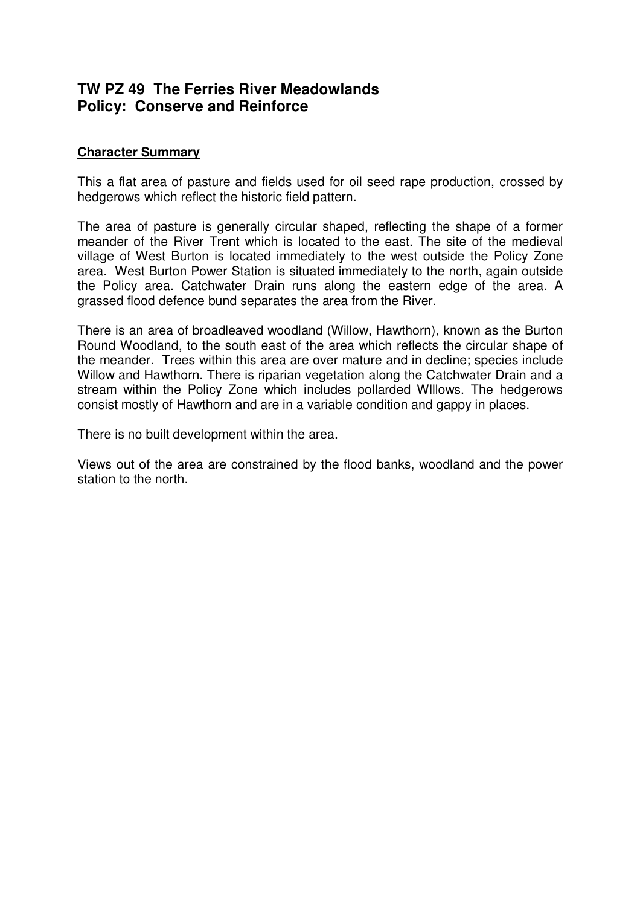# **TW PZ 49 The Ferries River Meadowlands Policy: Conserve and Reinforce**

## **Character Summary**

This a flat area of pasture and fields used for oil seed rape production, crossed by hedgerows which reflect the historic field pattern.

The area of pasture is generally circular shaped, reflecting the shape of a former meander of the River Trent which is located to the east. The site of the medieval village of West Burton is located immediately to the west outside the Policy Zone area. West Burton Power Station is situated immediately to the north, again outside the Policy area. Catchwater Drain runs along the eastern edge of the area. A grassed flood defence bund separates the area from the River.

There is an area of broadleaved woodland (Willow, Hawthorn), known as the Burton Round Woodland, to the south east of the area which reflects the circular shape of the meander. Trees within this area are over mature and in decline; species include Willow and Hawthorn. There is riparian vegetation along the Catchwater Drain and a stream within the Policy Zone which includes pollarded Wlllows. The hedgerows consist mostly of Hawthorn and are in a variable condition and gappy in places.

There is no built development within the area.

Views out of the area are constrained by the flood banks, woodland and the power station to the north.